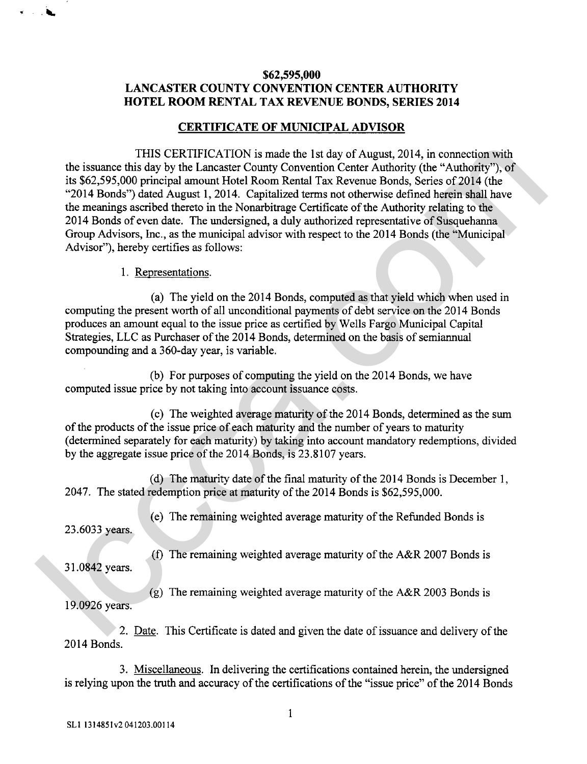## **\$62,595,000 LANCASTER COUNTY CONVENTION CENTER AUTHORITY HOTEL ROOM RENTAL TAX REVENUE BONDS, SERIES 2014**

## **CERTIFICATE OF MUNICIPAL ADVISOR**

THIS CERTIFICATION is made the 1st day of August, 2014, in connection with the issuance this day by the Lancaster County Convention Center Authority (the "Authority"), of its \$62,595,000 principal amount Hotel Room Rental Tax Revenue Bonds, Series of 2014 (the "2014 Bonds") dated August 1, 2014. Capitalized terms not otherwise defined herein shall have the meanings ascribed thereto in the Nonarbitrage Certificate of the Authority relating to the 2014 Bonds of even date. The undersigned, a duly authorized representative of Susquehanna Group Advisors, Inc., as the municipal advisor with respect to the 2014 Bonds (the "Municipal Advisor"), hereby certifies as follows: THIS CERTIFICATION's image the 1st day of August, 2014, in connection with the 1stance of this day by the Lancaster Courty Convention Center Authority (the "Authority"), of<br>
1962-595,000 principal amount Hotel Room Renati

## 1. Representations.

(a) The yield on the 2014 Bonds, computed as that yield which when used in computing the present worth of all unconditional payments of debt service on the 2014 Bonds produces an amount equal to the issue price as certified by Wells Fargo Municipal Capital Strategies, LLC as Purchaser of the 2014 Bonds, determined on the basis of semiannual compounding and a 360-day year, is variable.

(b) For purposes of computing the yield on the 2014 Bonds, we have computed issue price by not taking into account issuance costs.

(c) The weighted average maturity of the 2014 Bonds, determined as the sum of the products of the issue price of each maturity and the number of years to maturity (determined separately for each maturity) by taking into account mandatory redemptions, divided by the aggregate issue price of the 2014 Bonds, is 23.8107 years.

(d) The maturity date of the final maturity of the 20 14 Bonds is December 1, 2047. The stated redemption price at maturity of the 2014 Bonds is \$62,595,000.

23.6033 years.

3 1.0842 years.

(e) The remaining weighted average maturity of the Refunded Bonds is

**(f)** The remaining weighted average maturity of the A&R 2007 Bonds is

(g) The remaining weighted average maturity of the A&R 2003 Bonds is 19.0926 years.

2. Date. This Certificate is dated and given the date of issuance and delivery of the 2014 Bonds.

3. Miscellaneous. In delivering the certifications contained herein, the undersigned is relying upon the truth and accuracy of the certifications of the "issue price" of the 2014 Bonds

 $\mathbf{1}$